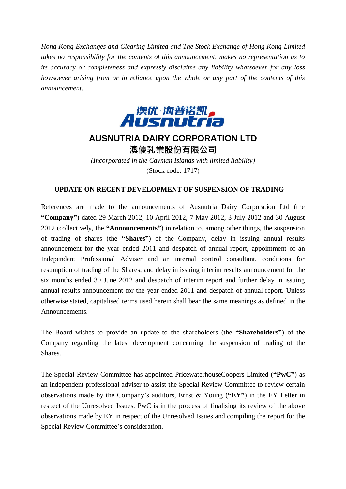*Hong Kong Exchanges and Clearing Limited and The Stock Exchange of Hong Kong Limited takes no responsibility for the contents of this announcement, makes no representation as to its accuracy or completeness and expressly disclaims any liability whatsoever for any loss howsoever arising from or in reliance upon the whole or any part of the contents of this announcement.*



## **AUSNUTRIA DAIRY CORPORATION LTD** 澳優乳業股份有限公司

*(Incorporated in the Cayman Islands with limited liability)* (Stock code: 1717)

## **UPDATE ON RECENT DEVELOPMENT OF SUSPENSION OF TRADING**

References are made to the announcements of Ausnutria Dairy Corporation Ltd (the **"Company"**) dated 29 March 2012, 10 April 2012, 7 May 2012, 3 July 2012 and 30 August 2012 (collectively, the **"Announcements"**) in relation to, among other things, the suspension of trading of shares (the **"Shares"**) of the Company, delay in issuing annual results announcement for the year ended 2011 and despatch of annual report, appointment of an Independent Professional Adviser and an internal control consultant, conditions for resumption of trading of the Shares, and delay in issuing interim results announcement for the six months ended 30 June 2012 and despatch of interim report and further delay in issuing annual results announcement for the year ended 2011 and despatch of annual report. Unless otherwise stated, capitalised terms used herein shall bear the same meanings as defined in the Announcements.

The Board wishes to provide an update to the shareholders (the **"Shareholders"**) of the Company regarding the latest development concerning the suspension of trading of the Shares.

The Special Review Committee has appointed PricewaterhouseCoopers Limited (**"PwC"**) as an independent professional adviser to assist the Special Review Committee to review certain observations made by the Company's auditors, Ernst & Young (**"EY"**) in the EY Letter in respect of the Unresolved Issues. PwC is in the process of finalising its review of the above observations made by EY in respect of the Unresolved Issues and compiling the report for the Special Review Committee's consideration.